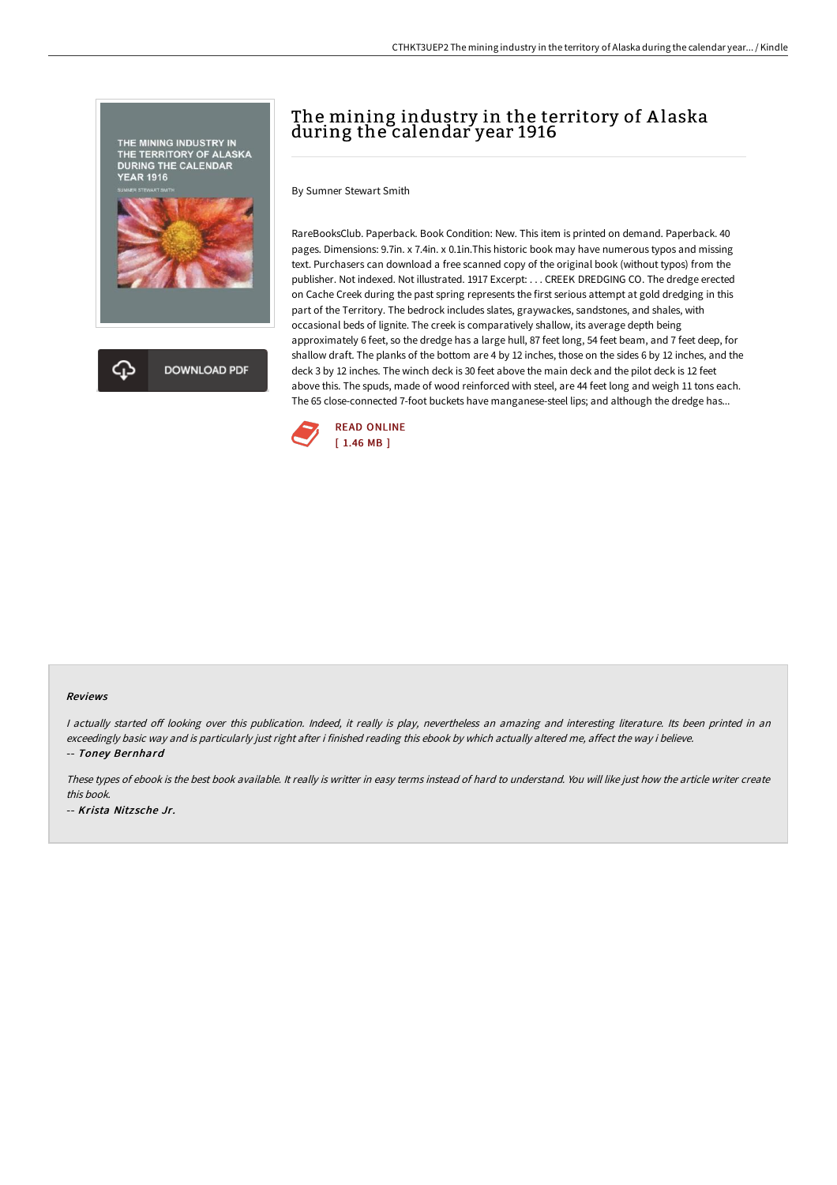

# The mining industry in the territory of Alaska during the calendar year 1916

By Sumner Stewart Smith

RareBooksClub. Paperback. Book Condition: New. This item is printed on demand. Paperback. 40 pages. Dimensions: 9.7in. x 7.4in. x 0.1in.This historic book may have numerous typos and missing text. Purchasers can download a free scanned copy of the original book (without typos) from the publisher. Not indexed. Not illustrated. 1917 Excerpt: . . . CREEK DREDGING CO. The dredge erected on Cache Creek during the past spring represents the first serious attempt at gold dredging in this part of the Territory. The bedrock includes slates, graywackes, sandstones, and shales, with occasional beds of lignite. The creek is comparatively shallow, its average depth being approximately 6 feet, so the dredge has a large hull, 87 feet long, 54 feet beam, and 7 feet deep, for shallow draft. The planks of the bottom are 4 by 12 inches, those on the sides 6 by 12 inches, and the deck 3 by 12 inches. The winch deck is 30 feet above the main deck and the pilot deck is 12 feet above this. The spuds, made of wood reinforced with steel, are 44 feet long and weigh 11 tons each. The 65 close-connected 7-foot buckets have manganese-steel lips; and although the dredge has...



#### Reviews

I actually started off looking over this publication. Indeed, it really is play, nevertheless an amazing and interesting literature. Its been printed in an exceedingly basic way and is particularly just right after i finished reading this ebook by which actually altered me, affect the way i believe. -- Toney Bernhard

These types of ebook is the best book available. It really is writter in easy terms instead of hard to understand. You will like just how the article writer create this book. -- Krista Nitz sche Jr.